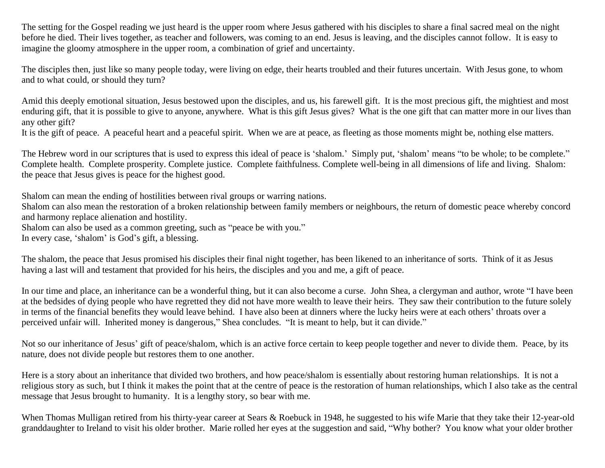The setting for the Gospel reading we just heard is the upper room where Jesus gathered with his disciples to share a final sacred meal on the night before he died. Their lives together, as teacher and followers, was coming to an end. Jesus is leaving, and the disciples cannot follow. It is easy to imagine the gloomy atmosphere in the upper room, a combination of grief and uncertainty.

The disciples then, just like so many people today, were living on edge, their hearts troubled and their futures uncertain. With Jesus gone, to whom and to what could, or should they turn?

Amid this deeply emotional situation, Jesus bestowed upon the disciples, and us, his farewell gift. It is the most precious gift, the mightiest and most enduring gift, that it is possible to give to anyone, anywhere. What is this gift Jesus gives? What is the one gift that can matter more in our lives than any other gift?

It is the gift of peace. A peaceful heart and a peaceful spirit. When we are at peace, as fleeting as those moments might be, nothing else matters.

The Hebrew word in our scriptures that is used to express this ideal of peace is 'shalom.' Simply put, 'shalom' means "to be whole; to be complete." Complete health. Complete prosperity. Complete justice. Complete faithfulness. Complete well-being in all dimensions of life and living. Shalom: the peace that Jesus gives is peace for the highest good.

Shalom can mean the ending of hostilities between rival groups or warring nations.

Shalom can also mean the restoration of a broken relationship between family members or neighbours, the return of domestic peace whereby concord and harmony replace alienation and hostility.

Shalom can also be used as a common greeting, such as "peace be with you."

In every case, 'shalom' is God's gift, a blessing.

The shalom, the peace that Jesus promised his disciples their final night together, has been likened to an inheritance of sorts. Think of it as Jesus having a last will and testament that provided for his heirs, the disciples and you and me, a gift of peace.

In our time and place, an inheritance can be a wonderful thing, but it can also become a curse. John Shea, a clergyman and author, wrote "I have been at the bedsides of dying people who have regretted they did not have more wealth to leave their heirs. They saw their contribution to the future solely in terms of the financial benefits they would leave behind. I have also been at dinners where the lucky heirs were at each others' throats over a perceived unfair will. Inherited money is dangerous," Shea concludes. "It is meant to help, but it can divide."

Not so our inheritance of Jesus' gift of peace/shalom, which is an active force certain to keep people together and never to divide them. Peace, by its nature, does not divide people but restores them to one another.

Here is a story about an inheritance that divided two brothers, and how peace/shalom is essentially about restoring human relationships. It is not a religious story as such, but I think it makes the point that at the centre of peace is the restoration of human relationships, which I also take as the central message that Jesus brought to humanity. It is a lengthy story, so bear with me.

When Thomas Mulligan retired from his thirty-year career at Sears & Roebuck in 1948, he suggested to his wife Marie that they take their 12-year-old granddaughter to Ireland to visit his older brother. Marie rolled her eyes at the suggestion and said, "Why bother? You know what your older brother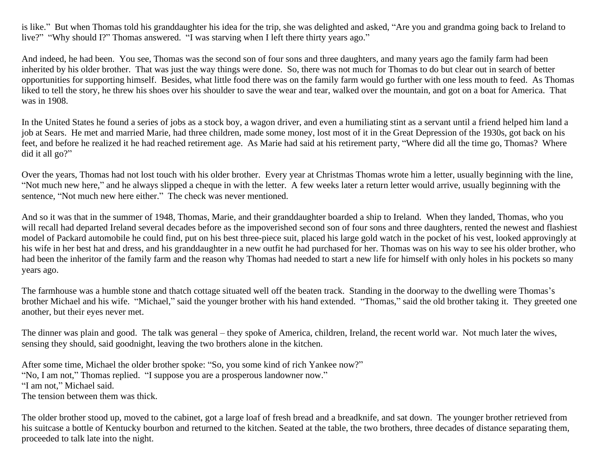is like." But when Thomas told his granddaughter his idea for the trip, she was delighted and asked, "Are you and grandma going back to Ireland to live?" "Why should I?" Thomas answered. "I was starving when I left there thirty years ago."

And indeed, he had been. You see, Thomas was the second son of four sons and three daughters, and many years ago the family farm had been inherited by his older brother. That was just the way things were done. So, there was not much for Thomas to do but clear out in search of better opportunities for supporting himself. Besides, what little food there was on the family farm would go further with one less mouth to feed. As Thomas liked to tell the story, he threw his shoes over his shoulder to save the wear and tear, walked over the mountain, and got on a boat for America. That was in 1908.

In the United States he found a series of jobs as a stock boy, a wagon driver, and even a humiliating stint as a servant until a friend helped him land a job at Sears. He met and married Marie, had three children, made some money, lost most of it in the Great Depression of the 1930s, got back on his feet, and before he realized it he had reached retirement age. As Marie had said at his retirement party, "Where did all the time go, Thomas? Where did it all go?"

Over the years, Thomas had not lost touch with his older brother. Every year at Christmas Thomas wrote him a letter, usually beginning with the line, "Not much new here," and he always slipped a cheque in with the letter. A few weeks later a return letter would arrive, usually beginning with the sentence, "Not much new here either." The check was never mentioned.

And so it was that in the summer of 1948, Thomas, Marie, and their granddaughter boarded a ship to Ireland. When they landed, Thomas, who you will recall had departed Ireland several decades before as the impoverished second son of four sons and three daughters, rented the newest and flashiest model of Packard automobile he could find, put on his best three-piece suit, placed his large gold watch in the pocket of his vest, looked approvingly at his wife in her best hat and dress, and his granddaughter in a new outfit he had purchased for her. Thomas was on his way to see his older brother, who had been the inheritor of the family farm and the reason why Thomas had needed to start a new life for himself with only holes in his pockets so many years ago.

The farmhouse was a humble stone and thatch cottage situated well off the beaten track. Standing in the doorway to the dwelling were Thomas's brother Michael and his wife. "Michael," said the younger brother with his hand extended. "Thomas," said the old brother taking it. They greeted one another, but their eyes never met.

The dinner was plain and good. The talk was general – they spoke of America, children, Ireland, the recent world war. Not much later the wives, sensing they should, said goodnight, leaving the two brothers alone in the kitchen.

After some time, Michael the older brother spoke: "So, you some kind of rich Yankee now?" "No, I am not," Thomas replied. "I suppose you are a prosperous landowner now." "I am not," Michael said. The tension between them was thick.

The older brother stood up, moved to the cabinet, got a large loaf of fresh bread and a breadknife, and sat down. The younger brother retrieved from his suitcase a bottle of Kentucky bourbon and returned to the kitchen. Seated at the table, the two brothers, three decades of distance separating them, proceeded to talk late into the night.